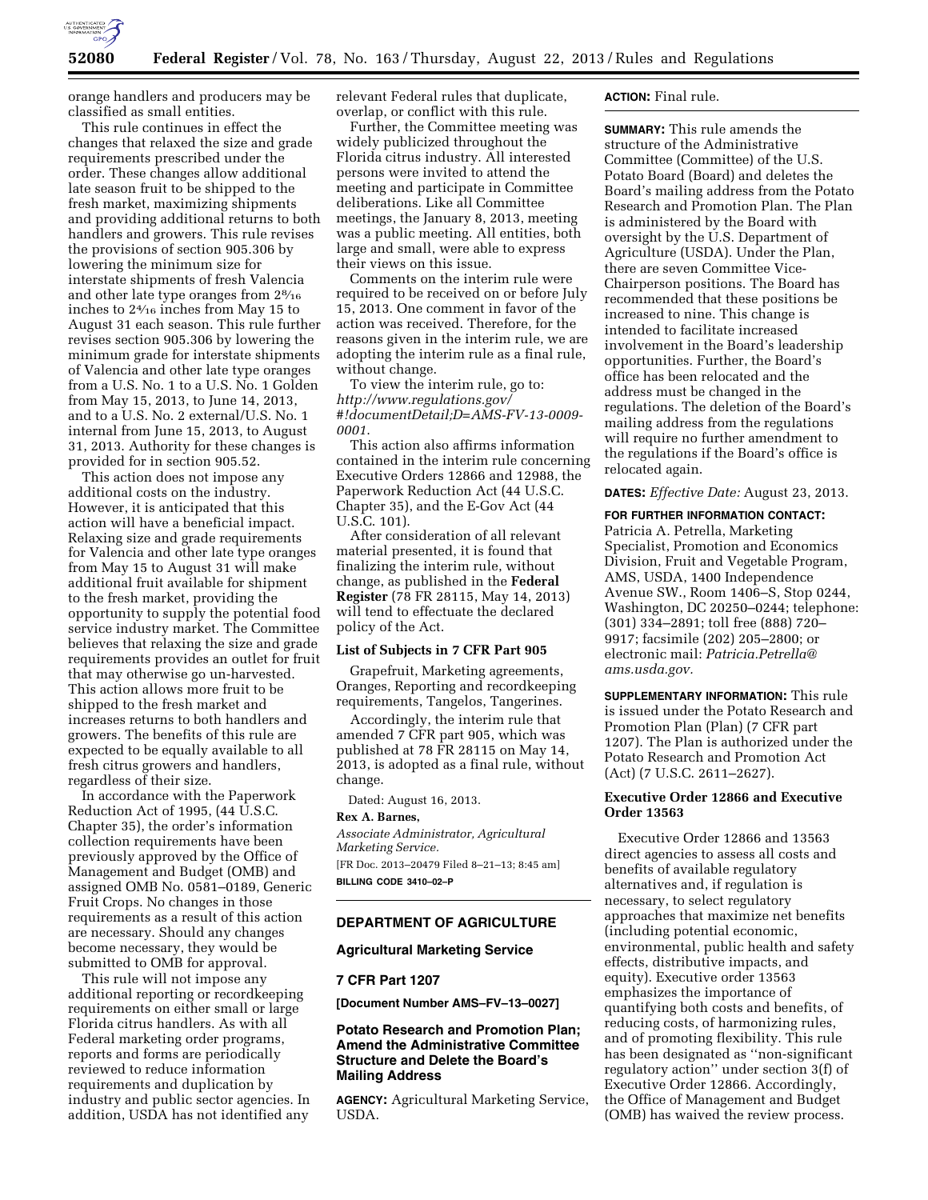

orange handlers and producers may be classified as small entities.

This rule continues in effect the changes that relaxed the size and grade requirements prescribed under the order. These changes allow additional late season fruit to be shipped to the fresh market, maximizing shipments and providing additional returns to both handlers and growers. This rule revises the provisions of section 905.306 by lowering the minimum size for interstate shipments of fresh Valencia and other late type oranges from 28⁄16 inches to 24⁄16 inches from May 15 to August 31 each season. This rule further revises section 905.306 by lowering the minimum grade for interstate shipments of Valencia and other late type oranges from a U.S. No. 1 to a U.S. No. 1 Golden from May 15, 2013, to June 14, 2013, and to a U.S. No. 2 external/U.S. No. 1 internal from June 15, 2013, to August 31, 2013. Authority for these changes is provided for in section 905.52.

This action does not impose any additional costs on the industry. However, it is anticipated that this action will have a beneficial impact. Relaxing size and grade requirements for Valencia and other late type oranges from May 15 to August 31 will make additional fruit available for shipment to the fresh market, providing the opportunity to supply the potential food service industry market. The Committee believes that relaxing the size and grade requirements provides an outlet for fruit that may otherwise go un-harvested. This action allows more fruit to be shipped to the fresh market and increases returns to both handlers and growers. The benefits of this rule are expected to be equally available to all fresh citrus growers and handlers, regardless of their size.

In accordance with the Paperwork Reduction Act of 1995, (44 U.S.C. Chapter 35), the order's information collection requirements have been previously approved by the Office of Management and Budget (OMB) and assigned OMB No. 0581–0189, Generic Fruit Crops. No changes in those requirements as a result of this action are necessary. Should any changes become necessary, they would be submitted to OMB for approval.

This rule will not impose any additional reporting or recordkeeping requirements on either small or large Florida citrus handlers. As with all Federal marketing order programs, reports and forms are periodically reviewed to reduce information requirements and duplication by industry and public sector agencies. In addition, USDA has not identified any

relevant Federal rules that duplicate, overlap, or conflict with this rule.

Further, the Committee meeting was widely publicized throughout the Florida citrus industry. All interested persons were invited to attend the meeting and participate in Committee deliberations. Like all Committee meetings, the January 8, 2013, meeting was a public meeting. All entities, both large and small, were able to express their views on this issue.

Comments on the interim rule were required to be received on or before July 15, 2013. One comment in favor of the action was received. Therefore, for the reasons given in the interim rule, we are adopting the interim rule as a final rule, without change.

To view the interim rule, go to: *[http://www.regulations.gov/](http://www.regulations.gov/#!documentDetail;D=AMS-FV-13-0009-0001)  [#!documentDetail;D=AMS-FV-13-0009-](http://www.regulations.gov/#!documentDetail;D=AMS-FV-13-0009-0001)  [0001](http://www.regulations.gov/#!documentDetail;D=AMS-FV-13-0009-0001)*.

This action also affirms information contained in the interim rule concerning Executive Orders 12866 and 12988, the Paperwork Reduction Act (44 U.S.C. Chapter 35), and the E-Gov Act (44 U.S.C. 101).

After consideration of all relevant material presented, it is found that finalizing the interim rule, without change, as published in the **Federal Register** (78 FR 28115, May 14, 2013) will tend to effectuate the declared policy of the Act.

### **List of Subjects in 7 CFR Part 905**

Grapefruit, Marketing agreements, Oranges, Reporting and recordkeeping requirements, Tangelos, Tangerines.

Accordingly, the interim rule that amended 7 CFR part 905, which was published at 78 FR 28115 on May 14, 2013, is adopted as a final rule, without change.

Dated: August 16, 2013.

# **Rex A. Barnes,**

*Associate Administrator, Agricultural Marketing Service.*  [FR Doc. 2013–20479 Filed 8–21–13; 8:45 am] **BILLING CODE 3410–02–P** 

# **DEPARTMENT OF AGRICULTURE**

### **Agricultural Marketing Service**

#### **7 CFR Part 1207**

**[Document Number AMS–FV–13–0027]** 

# **Potato Research and Promotion Plan; Amend the Administrative Committee Structure and Delete the Board's Mailing Address**

**AGENCY:** Agricultural Marketing Service, USDA.

## **ACTION:** Final rule.

**SUMMARY:** This rule amends the structure of the Administrative Committee (Committee) of the U.S. Potato Board (Board) and deletes the Board's mailing address from the Potato Research and Promotion Plan. The Plan is administered by the Board with oversight by the U.S. Department of Agriculture (USDA). Under the Plan, there are seven Committee Vice-Chairperson positions. The Board has recommended that these positions be increased to nine. This change is intended to facilitate increased involvement in the Board's leadership opportunities. Further, the Board's office has been relocated and the address must be changed in the regulations. The deletion of the Board's mailing address from the regulations will require no further amendment to the regulations if the Board's office is relocated again.

**DATES:** *Effective Date:* August 23, 2013.

#### **FOR FURTHER INFORMATION CONTACT:**

Patricia A. Petrella, Marketing Specialist, Promotion and Economics Division, Fruit and Vegetable Program, AMS, USDA, 1400 Independence Avenue SW., Room 1406–S, Stop 0244, Washington, DC 20250–0244; telephone: (301) 334–2891; toll free (888) 720– 9917; facsimile (202) 205–2800; or electronic mail: *[Patricia.Petrella@](mailto:Patricia.Petrella@ams.usda.gov) [ams.usda.gov.](mailto:Patricia.Petrella@ams.usda.gov)* 

**SUPPLEMENTARY INFORMATION:** This rule is issued under the Potato Research and Promotion Plan (Plan) (7 CFR part 1207). The Plan is authorized under the Potato Research and Promotion Act (Act) (7 U.S.C. 2611–2627).

# **Executive Order 12866 and Executive Order 13563**

Executive Order 12866 and 13563 direct agencies to assess all costs and benefits of available regulatory alternatives and, if regulation is necessary, to select regulatory approaches that maximize net benefits (including potential economic, environmental, public health and safety effects, distributive impacts, and equity). Executive order 13563 emphasizes the importance of quantifying both costs and benefits, of reducing costs, of harmonizing rules, and of promoting flexibility. This rule has been designated as ''non-significant regulatory action'' under section 3(f) of Executive Order 12866. Accordingly, the Office of Management and Budget (OMB) has waived the review process.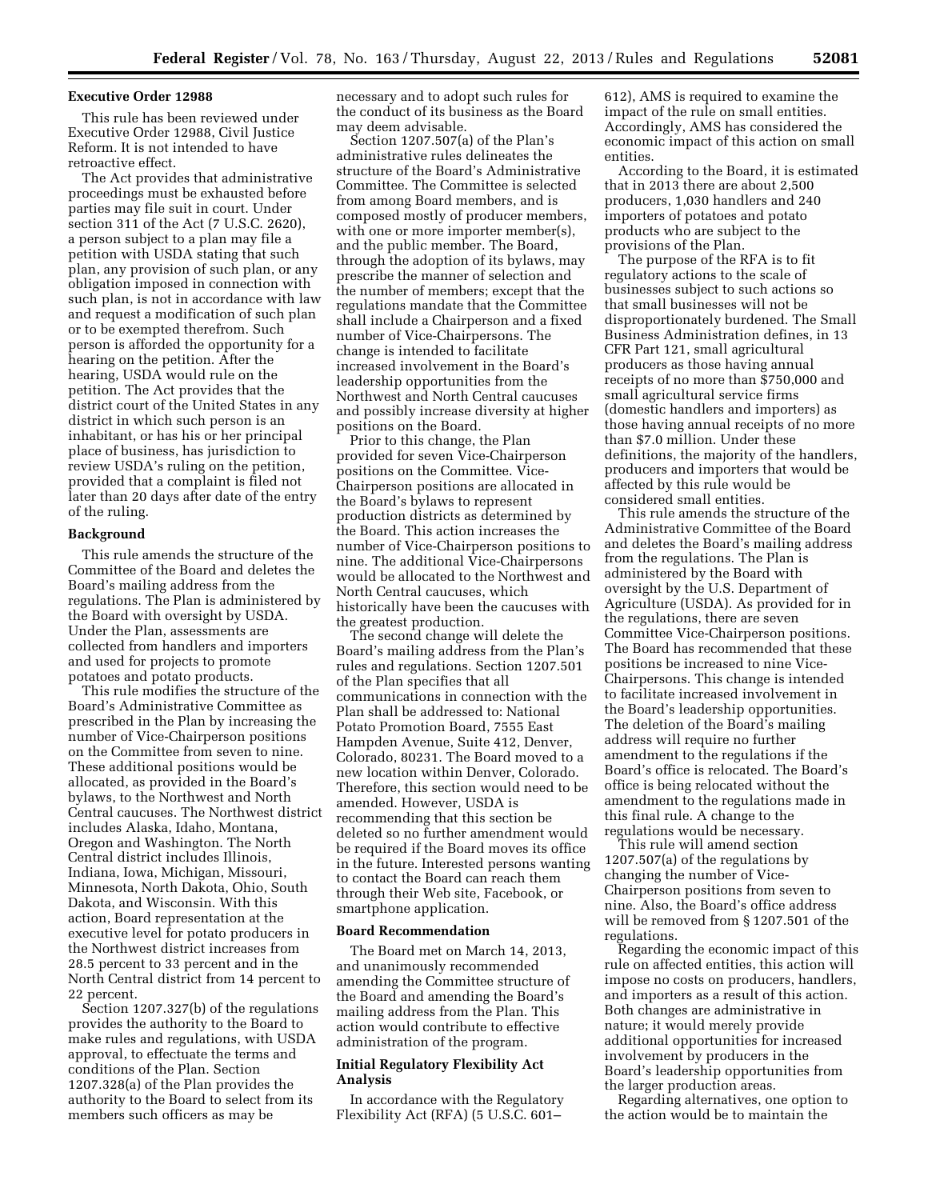#### **Executive Order 12988**

This rule has been reviewed under Executive Order 12988, Civil Justice Reform. It is not intended to have retroactive effect.

The Act provides that administrative proceedings must be exhausted before parties may file suit in court. Under section 311 of the Act (7 U.S.C. 2620), a person subject to a plan may file a petition with USDA stating that such plan, any provision of such plan, or any obligation imposed in connection with such plan, is not in accordance with law and request a modification of such plan or to be exempted therefrom. Such person is afforded the opportunity for a hearing on the petition. After the hearing, USDA would rule on the petition. The Act provides that the district court of the United States in any district in which such person is an inhabitant, or has his or her principal place of business, has jurisdiction to review USDA's ruling on the petition, provided that a complaint is filed not later than 20 days after date of the entry of the ruling.

## **Background**

This rule amends the structure of the Committee of the Board and deletes the Board's mailing address from the regulations. The Plan is administered by the Board with oversight by USDA. Under the Plan, assessments are collected from handlers and importers and used for projects to promote potatoes and potato products.

This rule modifies the structure of the Board's Administrative Committee as prescribed in the Plan by increasing the number of Vice-Chairperson positions on the Committee from seven to nine. These additional positions would be allocated, as provided in the Board's bylaws, to the Northwest and North Central caucuses. The Northwest district includes Alaska, Idaho, Montana, Oregon and Washington. The North Central district includes Illinois, Indiana, Iowa, Michigan, Missouri, Minnesota, North Dakota, Ohio, South Dakota, and Wisconsin. With this action, Board representation at the executive level for potato producers in the Northwest district increases from 28.5 percent to 33 percent and in the North Central district from 14 percent to 22 percent.

Section 1207.327(b) of the regulations provides the authority to the Board to make rules and regulations, with USDA approval, to effectuate the terms and conditions of the Plan. Section 1207.328(a) of the Plan provides the authority to the Board to select from its members such officers as may be

necessary and to adopt such rules for the conduct of its business as the Board may deem advisable.

Section 1207.507(a) of the Plan's administrative rules delineates the structure of the Board's Administrative Committee. The Committee is selected from among Board members, and is composed mostly of producer members, with one or more importer member(s), and the public member. The Board, through the adoption of its bylaws, may prescribe the manner of selection and the number of members; except that the regulations mandate that the Committee shall include a Chairperson and a fixed number of Vice-Chairpersons. The change is intended to facilitate increased involvement in the Board's leadership opportunities from the Northwest and North Central caucuses and possibly increase diversity at higher positions on the Board.

Prior to this change, the Plan provided for seven Vice-Chairperson positions on the Committee. Vice-Chairperson positions are allocated in the Board's bylaws to represent production districts as determined by the Board. This action increases the number of Vice-Chairperson positions to nine. The additional Vice-Chairpersons would be allocated to the Northwest and North Central caucuses, which historically have been the caucuses with the greatest production.

The second change will delete the Board's mailing address from the Plan's rules and regulations. Section 1207.501 of the Plan specifies that all communications in connection with the Plan shall be addressed to: National Potato Promotion Board, 7555 East Hampden Avenue, Suite 412, Denver, Colorado, 80231. The Board moved to a new location within Denver, Colorado. Therefore, this section would need to be amended. However, USDA is recommending that this section be deleted so no further amendment would be required if the Board moves its office in the future. Interested persons wanting to contact the Board can reach them through their Web site, Facebook, or smartphone application.

### **Board Recommendation**

The Board met on March 14, 2013, and unanimously recommended amending the Committee structure of the Board and amending the Board's mailing address from the Plan. This action would contribute to effective administration of the program.

# **Initial Regulatory Flexibility Act Analysis**

In accordance with the Regulatory Flexibility Act (RFA) (5 U.S.C. 601–

612), AMS is required to examine the impact of the rule on small entities. Accordingly, AMS has considered the economic impact of this action on small entities.

According to the Board, it is estimated that in 2013 there are about 2,500 producers, 1,030 handlers and 240 importers of potatoes and potato products who are subject to the provisions of the Plan.

The purpose of the RFA is to fit regulatory actions to the scale of businesses subject to such actions so that small businesses will not be disproportionately burdened. The Small Business Administration defines, in 13 CFR Part 121, small agricultural producers as those having annual receipts of no more than \$750,000 and small agricultural service firms (domestic handlers and importers) as those having annual receipts of no more than \$7.0 million. Under these definitions, the majority of the handlers, producers and importers that would be affected by this rule would be considered small entities.

This rule amends the structure of the Administrative Committee of the Board and deletes the Board's mailing address from the regulations. The Plan is administered by the Board with oversight by the U.S. Department of Agriculture (USDA). As provided for in the regulations, there are seven Committee Vice-Chairperson positions. The Board has recommended that these positions be increased to nine Vice-Chairpersons. This change is intended to facilitate increased involvement in the Board's leadership opportunities. The deletion of the Board's mailing address will require no further amendment to the regulations if the Board's office is relocated. The Board's office is being relocated without the amendment to the regulations made in this final rule. A change to the regulations would be necessary.

This rule will amend section 1207.507(a) of the regulations by changing the number of Vice-Chairperson positions from seven to nine. Also, the Board's office address will be removed from § 1207.501 of the regulations.

Regarding the economic impact of this rule on affected entities, this action will impose no costs on producers, handlers, and importers as a result of this action. Both changes are administrative in nature; it would merely provide additional opportunities for increased involvement by producers in the Board's leadership opportunities from the larger production areas.

Regarding alternatives, one option to the action would be to maintain the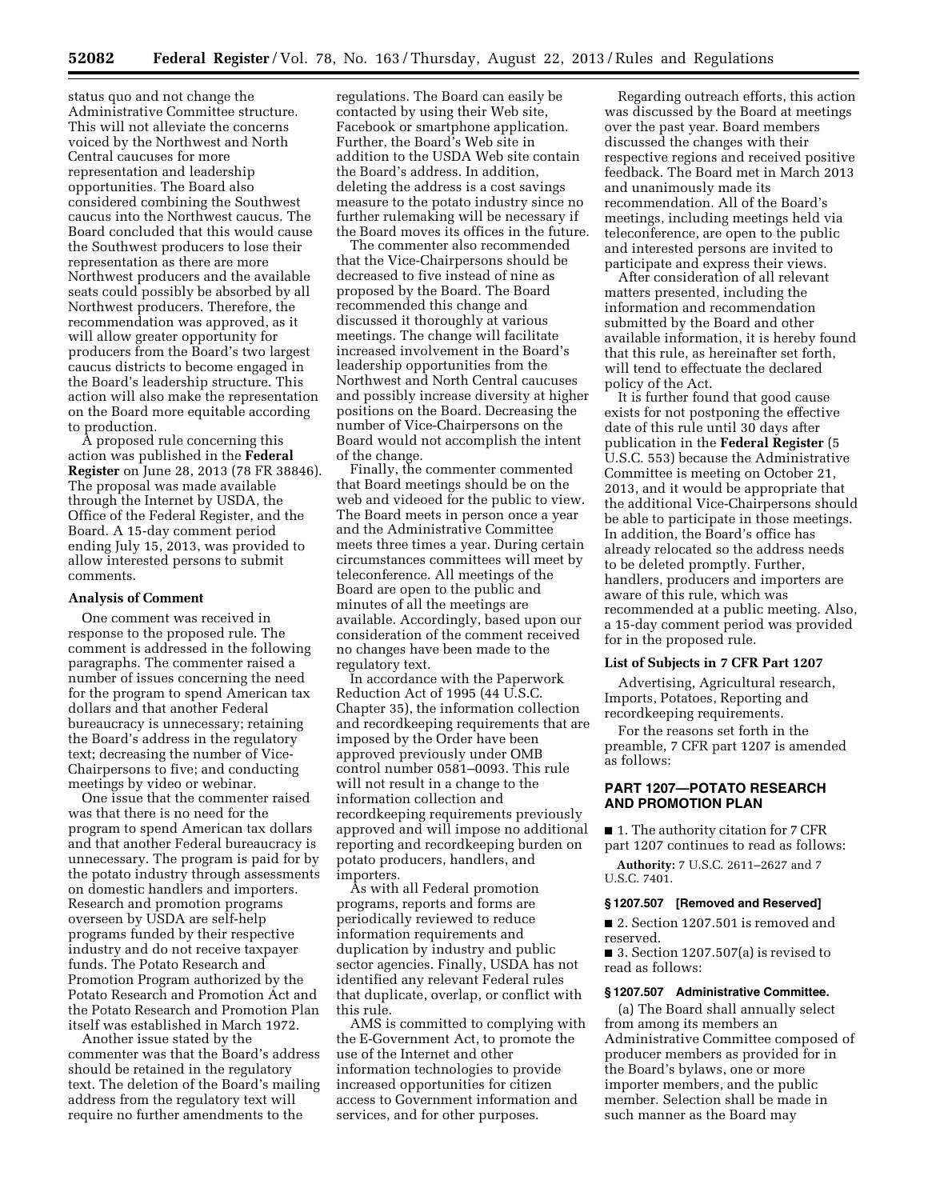status quo and not change the Administrative Committee structure. This will not alleviate the concerns voiced by the Northwest and North Central caucuses for more representation and leadership opportunities. The Board also considered combining the Southwest caucus into the Northwest caucus. The Board concluded that this would cause the Southwest producers to lose their representation as there are more Northwest producers and the available seats could possibly be absorbed by all Northwest producers. Therefore, the recommendation was approved, as it will allow greater opportunity for producers from the Board's two largest caucus districts to become engaged in the Board's leadership structure. This action will also make the representation on the Board more equitable according to production.

A proposed rule concerning this action was published in the **Federal Register** on June 28, 2013 (78 FR 38846). The proposal was made available through the Internet by USDA, the Office of the Federal Register, and the Board. A 15-day comment period ending July 15, 2013, was provided to allow interested persons to submit comments.

### **Analysis of Comment**

One comment was received in response to the proposed rule. The comment is addressed in the following paragraphs. The commenter raised a number of issues concerning the need for the program to spend American tax dollars and that another Federal bureaucracy is unnecessary; retaining the Board's address in the regulatory text; decreasing the number of Vice-Chairpersons to five; and conducting meetings by video or webinar.

One issue that the commenter raised was that there is no need for the program to spend American tax dollars and that another Federal bureaucracy is unnecessary. The program is paid for by the potato industry through assessments on domestic handlers and importers. Research and promotion programs overseen by USDA are self-help programs funded by their respective industry and do not receive taxpayer funds. The Potato Research and Promotion Program authorized by the Potato Research and Promotion Act and the Potato Research and Promotion Plan itself was established in March 1972.

Another issue stated by the commenter was that the Board's address should be retained in the regulatory text. The deletion of the Board's mailing address from the regulatory text will require no further amendments to the

regulations. The Board can easily be contacted by using their Web site, Facebook or smartphone application. Further, the Board's Web site in addition to the USDA Web site contain the Board's address. In addition, deleting the address is a cost savings measure to the potato industry since no further rulemaking will be necessary if the Board moves its offices in the future.

The commenter also recommended that the Vice-Chairpersons should be decreased to five instead of nine as proposed by the Board. The Board recommended this change and discussed it thoroughly at various meetings. The change will facilitate increased involvement in the Board's leadership opportunities from the Northwest and North Central caucuses and possibly increase diversity at higher positions on the Board. Decreasing the number of Vice-Chairpersons on the Board would not accomplish the intent of the change.

Finally, the commenter commented that Board meetings should be on the web and videoed for the public to view. The Board meets in person once a year and the Administrative Committee meets three times a year. During certain circumstances committees will meet by teleconference. All meetings of the Board are open to the public and minutes of all the meetings are available. Accordingly, based upon our consideration of the comment received no changes have been made to the regulatory text.

In accordance with the Paperwork Reduction Act of 1995 (44 U.S.C. Chapter 35), the information collection and recordkeeping requirements that are imposed by the Order have been approved previously under OMB control number 0581–0093. This rule will not result in a change to the information collection and recordkeeping requirements previously approved and will impose no additional reporting and recordkeeping burden on potato producers, handlers, and importers.

As with all Federal promotion programs, reports and forms are periodically reviewed to reduce information requirements and duplication by industry and public sector agencies. Finally, USDA has not identified any relevant Federal rules that duplicate, overlap, or conflict with this rule.

AMS is committed to complying with the E-Government Act, to promote the use of the Internet and other information technologies to provide increased opportunities for citizen access to Government information and services, and for other purposes.

Regarding outreach efforts, this action was discussed by the Board at meetings over the past year. Board members discussed the changes with their respective regions and received positive feedback. The Board met in March 2013 and unanimously made its recommendation. All of the Board's meetings, including meetings held via teleconference, are open to the public and interested persons are invited to participate and express their views.

After consideration of all relevant matters presented, including the information and recommendation submitted by the Board and other available information, it is hereby found that this rule, as hereinafter set forth, will tend to effectuate the declared policy of the Act.

It is further found that good cause exists for not postponing the effective date of this rule until 30 days after publication in the **Federal Register** (5 U.S.C. 553) because the Administrative Committee is meeting on October 21, 2013, and it would be appropriate that the additional Vice-Chairpersons should be able to participate in those meetings. In addition, the Board's office has already relocated so the address needs to be deleted promptly. Further, handlers, producers and importers are aware of this rule, which was recommended at a public meeting. Also, a 15-day comment period was provided for in the proposed rule.

#### **List of Subjects in 7 CFR Part 1207**

Advertising, Agricultural research, Imports, Potatoes, Reporting and recordkeeping requirements.

For the reasons set forth in the preamble, 7 CFR part 1207 is amended as follows:

# **PART 1207—POTATO RESEARCH AND PROMOTION PLAN**

■ 1. The authority citation for 7 CFR part 1207 continues to read as follows:

**Authority:** 7 U.S.C. 2611–2627 and 7 U.S.C. 7401.

#### **§ 1207.507 [Removed and Reserved]**

■ 2. Section 1207.501 is removed and reserved.

■ 3. Section 1207.507(a) is revised to read as follows:

### **§ 1207.507 Administrative Committee.**

(a) The Board shall annually select from among its members an Administrative Committee composed of producer members as provided for in the Board's bylaws, one or more importer members, and the public member. Selection shall be made in such manner as the Board may